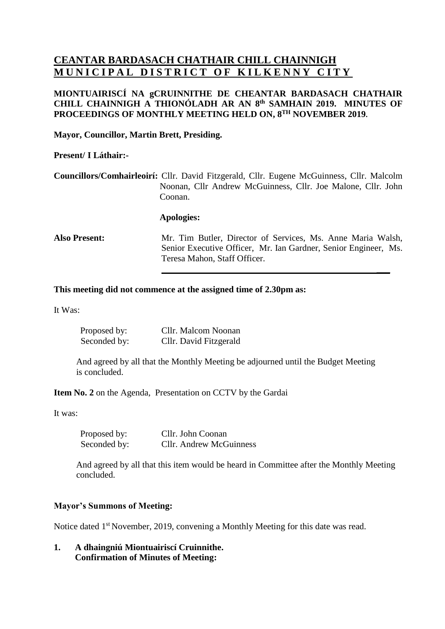# **CEANTAR BARDASACH CHATHAIR CHILL CHAINNIGH MUNICIPAL DISTRICT OF KILKENNY CITY**

### **MIONTUAIRISCÍ NA gCRUINNITHE DE CHEANTAR BARDASACH CHATHAIR CHILL CHAINNIGH A THIONÓLADH AR AN 8 th SAMHAIN 2019. MINUTES OF PROCEEDINGS OF MONTHLY MEETING HELD ON, 8 TH NOVEMBER 2019.**

#### **Mayor, Councillor, Martin Brett, Presiding.**

#### **Present/ I Láthair:-**

**Councillors/Comhairleoirí:** Cllr. David Fitzgerald, Cllr. Eugene McGuinness, Cllr. Malcolm Noonan, Cllr Andrew McGuinness, Cllr. Joe Malone, Cllr. John Coonan.

#### **Apologies:**

**Also Present:** Mr. Tim Butler, Director of Services, Ms. Anne Maria Walsh, Senior Executive Officer, Mr. Ian Gardner, Senior Engineer, Ms. Teresa Mahon, Staff Officer.

**\_\_\_**

#### **This meeting did not commence at the assigned time of 2.30pm as:**

It Was:

| Proposed by: | Cllr. Malcom Noonan    |
|--------------|------------------------|
| Seconded by: | Cllr. David Fitzgerald |

 And agreed by all that the Monthly Meeting be adjourned until the Budget Meeting is concluded.

**Item No. 2** on the Agenda, Presentation on CCTV by the Gardai

It was:

Proposed by: Cllr. John Coonan Seconded by: Cllr. Andrew McGuinness

 And agreed by all that this item would be heard in Committee after the Monthly Meeting concluded.

#### **Mayor's Summons of Meeting:**

Notice dated 1<sup>st</sup> November, 2019, convening a Monthly Meeting for this date was read.

**1. A dhaingniú Miontuairiscí Cruinnithe. Confirmation of Minutes of Meeting:**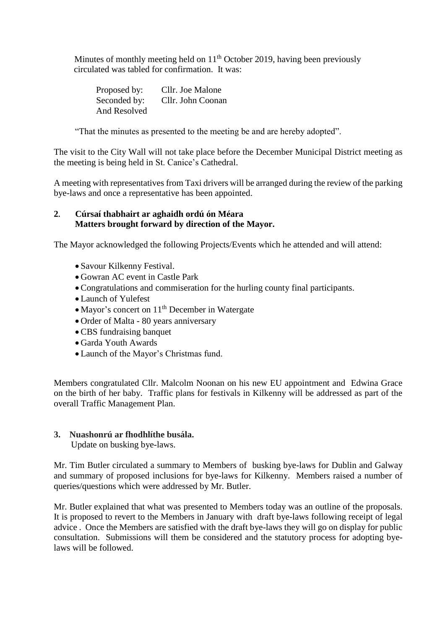Minutes of monthly meeting held on 11<sup>th</sup> October 2019, having been previously circulated was tabled for confirmation. It was:

> Proposed by: Cllr. Joe Malone Seconded by: Cllr. John Coonan And Resolved

"That the minutes as presented to the meeting be and are hereby adopted".

The visit to the City Wall will not take place before the December Municipal District meeting as the meeting is being held in St. Canice's Cathedral.

A meeting with representatives from Taxi drivers will be arranged during the review of the parking bye-laws and once a representative has been appointed.

## **2. Cúrsaí thabhairt ar aghaidh ordú ón Méara Matters brought forward by direction of the Mayor.**

The Mayor acknowledged the following Projects/Events which he attended and will attend:

- Savour Kilkenny Festival.
- Gowran AC event in Castle Park
- Congratulations and commiseration for the hurling county final participants.
- Launch of Yulefest
- Mayor's concert on  $11<sup>th</sup>$  December in Watergate
- Order of Malta 80 years anniversary
- CBS fundraising banquet
- Garda Youth Awards
- Launch of the Mayor's Christmas fund.

Members congratulated Cllr. Malcolm Noonan on his new EU appointment and Edwina Grace on the birth of her baby. Traffic plans for festivals in Kilkenny will be addressed as part of the overall Traffic Management Plan.

## **3. Nuashonrú ar fhodhlíthe busála.**

Update on busking bye-laws.

Mr. Tim Butler circulated a summary to Members of busking bye-laws for Dublin and Galway and summary of proposed inclusions for bye-laws for Kilkenny. Members raised a number of queries/questions which were addressed by Mr. Butler.

Mr. Butler explained that what was presented to Members today was an outline of the proposals. It is proposed to revert to the Members in January with draft bye-laws following receipt of legal advice . Once the Members are satisfied with the draft bye-laws they will go on display for public consultation. Submissions will them be considered and the statutory process for adopting byelaws will be followed.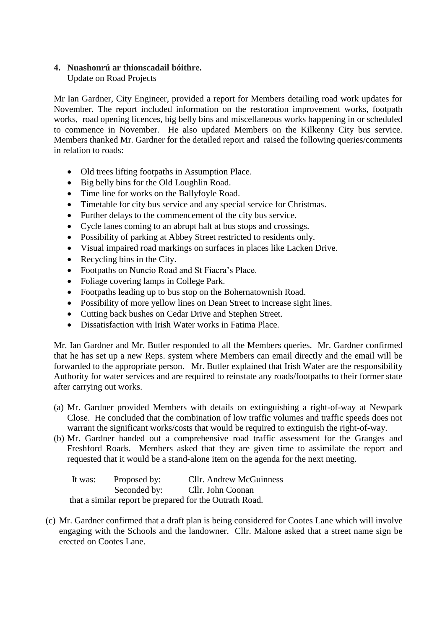## **4. Nuashonrú ar thionscadail bóithre.**

Update on Road Projects

Mr Ian Gardner, City Engineer, provided a report for Members detailing road work updates for November. The report included information on the restoration improvement works, footpath works, road opening licences, big belly bins and miscellaneous works happening in or scheduled to commence in November. He also updated Members on the Kilkenny City bus service. Members thanked Mr. Gardner for the detailed report and raised the following queries/comments in relation to roads:

- Old trees lifting footpaths in Assumption Place.
- Big belly bins for the Old Loughlin Road.
- Time line for works on the Ballyfoyle Road.
- Timetable for city bus service and any special service for Christmas.
- Further delays to the commencement of the city bus service.
- Cycle lanes coming to an abrupt halt at bus stops and crossings.
- Possibility of parking at Abbey Street restricted to residents only.
- Visual impaired road markings on surfaces in places like Lacken Drive.
- Recycling bins in the City.
- Footpaths on Nuncio Road and St Fiacra's Place.
- Foliage covering lamps in College Park.
- Footpaths leading up to bus stop on the Bohernatownish Road.
- Possibility of more yellow lines on Dean Street to increase sight lines.
- Cutting back bushes on Cedar Drive and Stephen Street.
- Dissatisfaction with Irish Water works in Fatima Place.

Mr. Ian Gardner and Mr. Butler responded to all the Members queries. Mr. Gardner confirmed that he has set up a new Reps. system where Members can email directly and the email will be forwarded to the appropriate person. Mr. Butler explained that Irish Water are the responsibility Authority for water services and are required to reinstate any roads/footpaths to their former state after carrying out works.

- (a) Mr. Gardner provided Members with details on extinguishing a right-of-way at Newpark Close. He concluded that the combination of low traffic volumes and traffic speeds does not warrant the significant works/costs that would be required to extinguish the right-of-way.
- (b) Mr. Gardner handed out a comprehensive road traffic assessment for the Granges and Freshford Roads. Members asked that they are given time to assimilate the report and requested that it would be a stand-alone item on the agenda for the next meeting.

| It was: | Proposed by: | <b>Cllr.</b> Andrew McGuinness                          |
|---------|--------------|---------------------------------------------------------|
|         | Seconded by: | Cllr. John Coonan                                       |
|         |              | that a similar report be prepared for the Outrath Road. |

(c) Mr. Gardner confirmed that a draft plan is being considered for Cootes Lane which will involve engaging with the Schools and the landowner. Cllr. Malone asked that a street name sign be erected on Cootes Lane.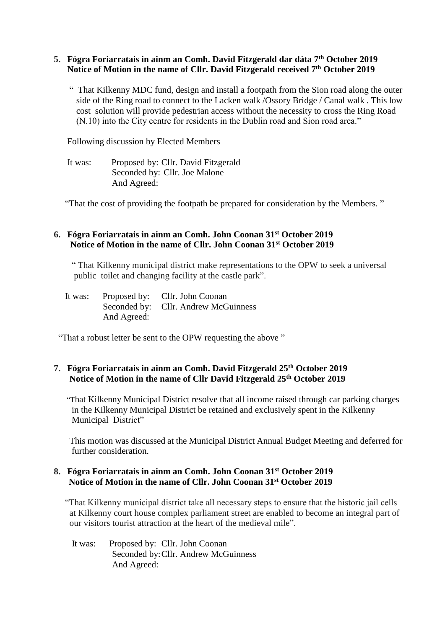### **5. Fógra Foriarratais in ainm an Comh. David Fitzgerald dar dáta 7th October 2019 Notice of Motion in the name of Cllr. David Fitzgerald received 7 th October 2019**

 " That Kilkenny MDC fund, design and install a footpath from the Sion road along the outer side of the Ring road to connect to the Lacken walk /Ossory Bridge / Canal walk . This low cost solution will provide pedestrian access without the necessity to cross the Ring Road (N.10) into the City centre for residents in the Dublin road and Sion road area."

Following discussion by Elected Members

 It was: Proposed by: Cllr. David Fitzgerald Seconded by: Cllr. Joe Malone And Agreed:

"That the cost of providing the footpath be prepared for consideration by the Members. "

#### **6. Fógra Foriarratais in ainm an Comh. John Coonan 31st October 2019 Notice of Motion in the name of Cllr. John Coonan 31st October 2019**

 " That Kilkenny municipal district make representations to the OPW to seek a universal public toilet and changing facility at the castle park".

|             | It was: Proposed by: Cllr. John Coonan |
|-------------|----------------------------------------|
|             | Seconded by: Cllr. Andrew McGuinness   |
| And Agreed: |                                        |

"That a robust letter be sent to the OPW requesting the above "

## **7. Fógra Foriarratais in ainm an Comh. David Fitzgerald 25th October 2019 Notice of Motion in the name of Cllr David Fitzgerald 25th October 2019**

 "That Kilkenny Municipal District resolve that all income raised through car parking charges in the Kilkenny Municipal District be retained and exclusively spent in the Kilkenny Municipal District"

 This motion was discussed at the Municipal District Annual Budget Meeting and deferred for further consideration.

## **8. Fógra Foriarratais in ainm an Comh. John Coonan 31st October 2019 Notice of Motion in the name of Cllr. John Coonan 31st October 2019**

 "That Kilkenny municipal district take all necessary steps to ensure that the historic jail cells at Kilkenny court house complex parliament street are enabled to become an integral part of our visitors tourist attraction at the heart of the medieval mile".

 It was: Proposed by: Cllr. John Coonan Seconded by:Cllr. Andrew McGuinness And Agreed: